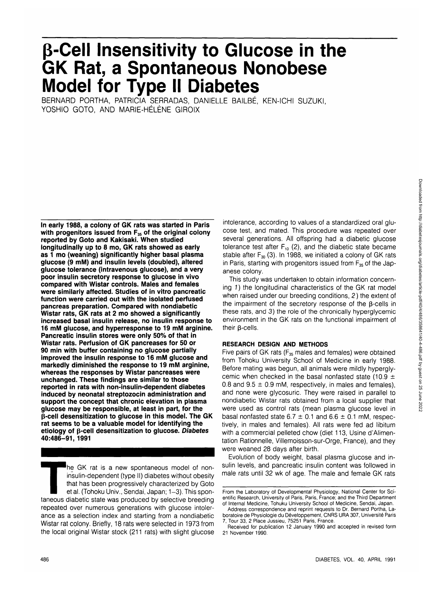# **p-Cell Insensitivity to Glucose in the GK Rat, a Spontaneous Nonobese Model for Type II Diabetes**

BERNARD PORTHA, PATRICIA SERRADAS, DANIELLE BAILBÉ, KEN-ICHI SUZUKI, YOSHIO GOTO, AND MARIE-HÉLÈNE GIROIX

**In early 1988, a colony of GK rats was started in Paris** with progenitors issued from F<sub>35</sub> of the original colony **reported by Goto and Kakisaki. When studied longitudinally up to 8 mo, GK rats showed as early as 1 mo (weaning) significantly higher basal plasma glucose (9 mM) and insulin levels (doubled), altered glucose tolerance (intravenous glucose), and a very poor insulin secretory response to glucose in vivo compared with Wistar controls. Males and females were similarly affected. Studies of in vitro pancreatic function were carried out with the isolated perfused pancreas preparation. Compared with nondiabetic Wistar rats, GK rats at 2 mo showed a significantly increased basal insulin release, no insulin response to 16 mM glucose, and hyperresponse to 19 mM arginine. Pancreatic insulin stores were only 50% of that in Wistar rats. Perfusion of GK pancreases for 50 or 90 min with buffer containing no glucose partially improved the insulin response to 16 mM glucose and markedly diminished the response to 19 mM arginine, whereas the responses by Wistar pancreases were unchanged. These findings are similar to those reported in rats with non-insulin-dependent diabetes induced by neonatal streptozocin administration and support the concept that chronic elevation in plasma glucose may be responsible, at least in part, for the p-cell desensitization to glucose in this model. The GK rat seems to be a valuable model for identifying the etiology of p-cell desensitization to glucose. Diabetes 40:486-91, 1991**

he GK rat is a new spontaneous model of noninsulin-dependent (type II) diabetes without obesity that has been progressively characterized by Goto et al. (Tohoku Univ., Sendai, Japan; 1-3). This spontaneous diabetic state was produced by selective breeding repeated over numerous generations with glucose intolerance as a selection index and starting from a nondiabetic Wistar rat colony. Briefly, 18 rats were selected in 1973 from the local original Wistar stock (211 rats) with slight glucose intolerance, according to values of a standardized oral glucose test, and mated. This procedure was repeated over several generations. All offspring had a diabetic glucose tolerance test after  $F_{10}$  (2), and the diabetic state became stable after  $F_{30}$  (3). In 1988, we initiated a colony of GK rats in Paris, starting with progenitors issued from  $F_{35}$  of the Japanese colony.

This study was undertaken to obtain information concerning 1) the longitudinal characteristics of the GK rat model when raised under our breeding conditions, 2) the extent of the impairment of the secretory response of the B-cells in these rats, and 3) the role of the chronically hyperglycemic environment in the GK rats on the functional impairment of their **B-cells**.

# **RESEARCH DESIGN AND METHODS**

Five pairs of GK rats ( $F_{35}$  males and females) were obtained from Tohoku University School of Medicine in early 1988. Before mating was begun, all animals were mildly hyperglycemic when checked in the basal nonfasted state (10.9  $\pm$ 0.8 and  $9.5 \pm 0.9$  mM, respectively, in males and females), and none were glycosuric. They were raised in parallel to nondiabetic Wistar rats obtained from a local supplier that were used as control rats (mean plasma glucose level in basal nonfasted state  $6.7 \pm 0.1$  and  $6.6 \pm 0.1$  mM, respectively, in males and females). All rats were fed ad libitum with a commercial pelleted chow (diet 113, Usine d'Alimentation Rationnelle, Villemoisson-sur-Orge, France), and they were weaned 28 days after birth.

Evolution of body weight, basal plasma glucose and insulin levels, and pancreatic insulin content was followed in male rats until 32 wk of age. The male and female GK rats

From the Laboratory of Developmental Physiology, National Center for Scientific Research, University of Paris, Paris, France; and the Third Department of Internal Medicine, Tohuku University School of Medicine, Sendai, Japan.

Address correspondence and reprint requests to Dr. Bernard Portha, Laboratoire de Physiologie du Développement, CNRS URA 307, Université Paris 7, Tour 33, 2 Place Jussieu, 75251 Paris, France.

Received for publication 12 January 1990 and accepted in revised form 21 November 1990.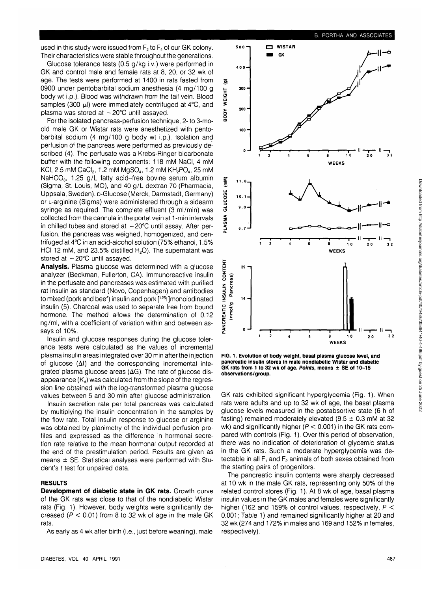used in this study were issued from  $F<sub>2</sub>$  to  $F<sub>4</sub>$  of our GK colony. Their characteristics were stable throughout the generations.

Glucose tolerance tests (0.5 g/kg i.v.) were performed in GK and control male and female rats at 8, 20, or 32 wk of age. The tests were performed at 1400 in rats fasted from 0900 under pentobarbital sodium anesthesia (4 mg/100 g body wt i.p.). Blood was withdrawn from the tail vein. Blood samples (300 µ) were immediately centrifuged at 4°C, and plasma was stored at  $-20^{\circ}$ C until assayed.

For the isolated pancreas-perfusion technique, 2- to 3-moold male GK or Wistar rats were anesthetized with pentobarbital sodium (4 mg/100 g body wt i.p.). Isolation and perfusion of the pancreas were performed as previously described (4). The perfusate was a Krebs-Ringer bicarbonate buffer with the following components: 118 mM NaCI, 4 mM KCI, 2.5 mM CaCl<sub>2</sub>, 1.2 mM MgSO<sub>4</sub>, 1.2 mM KH<sub>2</sub>PO<sub>4</sub>, 25 mM NaHCO<sub>3</sub>, 1.25 g/L fatty acid-free bovine serum albumin (Sigma, St. Louis, MO), and 40 g/L dextran 70 (Pharmacia, Uppsala, Sweden). D-Glucose (Merck, Darmstadt, Germany) or L-arginine (Sigma) were administered through a sidearm syringe as required. The complete effluent (3 ml/min) was collected from the cannula in the portal vein at 1 -min intervals in chilled tubes and stored at  $-20^{\circ}$ C until assay. After perfusion, the pancreas was weighed, homogenized, and centrifuged at 4°C in an acid-alcohol solution (75% ethanol, 1.5% HCI 12 mM, and 23.5% distilled  $H_2O$ ). The supernatant was stored at  $-20^{\circ}$ C until assayed.

**Analysis.** Plasma glucose was determined with a glucose analyzer (Beckman, Fullerton, CA). Immunoreactive insulin in the perfusate and pancreases was estimated with purified rat insulin as standard (Novo, Copenhagen) and antibodies to mixed (pork and beef) insulin and pork [125l]monoiodinated insulin (5). Charcoal was used to separate free from bound hormone. The method allows the determination of 0.12 ng/ml, with a coefficient of variation within and between assays of 10%.

Insulin and glucose responses during the glucose tolerance tests were calculated as the values of incremental plasma insulin areas integrated over 30 min after the injection of glucose  $(\Delta I)$  and the corresponding incremental integrated plasma glucose areas  $(\Delta G)$ . The rate of glucose disappearance  $(K_d)$  was calculated from the slope of the regression line obtained with the log-transformed plasma glucose values between 5 and 30 min after glucose administration.

Insulin secretion rate per total pancreas was calculated by multiplying the insulin concentration in the samples by the flow rate. Total insulin response to glucose or arginine was obtained by planimetry of the individual perfusion profiles and expressed as the difference in hormonal secretion rate relative to the mean hormonal output recorded at the end of the prestimulation period. Results are given as means  $\pm$  SE. Statistical analyses were performed with Student's t test for unpaired data.

### **RESULTS**

**Development of diabetic state in GK rats.** Growth curve of the GK rats was close to that of the nondiabetic Wistar rats (Fig. 1). However, body weights were significantly decreased ( $P < 0.01$ ) from 8 to 32 wk of age in the male GK rats.

As early as 4 wk after birth (i.e., just before weaning), male





**FIG. 1. Evolution of body weight, basal plasma glucose level, and pancreatic insulin stores in male nondiabetic Wistar and diabetic GK rats from 1 to 32 wk of age. Points, means ± SE of 10-15 observations/group.**

GK rats exhibited significant hyperglycemia (Fig. 1). When rats were adults and up to 32 wk of age, the basal plasma glucose levels measured in the postabsortive state (6 h of fasting) remained moderately elevated ( $9.5 \pm 0.3$  mM at 32 wk) and significantly higher ( $P < 0.001$ ) in the GK rats compared with controls (Fig. 1). Over this period of observation, there was no indication of deterioration of glycemic status in the GK rats. Such a moderate hyperglycemia was detectable in all  $F_1$  and  $F_2$  animals of both sexes obtained from the starting pairs of progenitors.

The pancreatic insulin contents were sharply decreased at 10 wk in the male GK rats, representing only 50% of the related control stores (Fig. 1). At 8 wk of age, basal plasma insulin values in the GK males and females were significantly higher (162 and 159% of control values, respectively,  $P <$ 0.001; Table 1) and remained significantly higher at 20 and 32 wk (274 and 172% in males and 169 and 152% in females, respectively).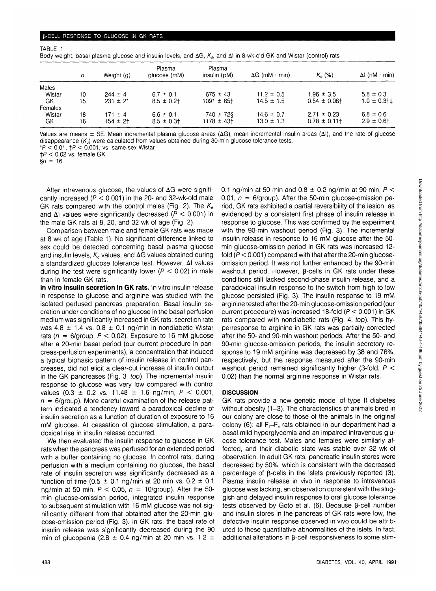| 6 BOOY Weight, Dasai Diasma qiucose ano insulin levels, ano של הו וב א הו ום א איז ווא א הו ווא א הו ווא א הו מ |      |               |                        |                        |                             |                   |                       |
|-----------------------------------------------------------------------------------------------------------------|------|---------------|------------------------|------------------------|-----------------------------|-------------------|-----------------------|
|                                                                                                                 | n    | Weight (g)    | Plasma<br>glucose (mM) | Plasma<br>insulin (pM) | $\Delta G$ (mM $\cdot$ min) | $K_a (%)$         | $\Delta$ l (nM · min) |
| Males                                                                                                           |      |               |                        |                        |                             |                   |                       |
| Wistar                                                                                                          | 10   | $244 \pm 4$   | $6.7 \pm 0.1$          | $675 \pm 43$           | $11.2 \pm 0.5$              | $1.96 \pm 3.5$    | $5.8 \pm 0.3$         |
| GK                                                                                                              | 15   | $231 \pm 2^*$ | $8.5 \pm 0.2$          | $1091 \pm 65$          | $14.5 \pm 1.5$              | $0.54 \pm 0.08$ t | $1.0 \pm 0.3$ † $\pm$ |
| Females                                                                                                         |      |               |                        |                        |                             |                   |                       |
| Wistar                                                                                                          | 18 - | $171 \pm 4$   | $6.6 \pm 0.1$          | $740 \pm 72$ §         | $14.6 \pm 0.7$              | $2.71 \pm 0.23$   | $6.8 \pm 0.6$         |
| GK                                                                                                              | 16   | $154 \pm 2$   | $8.5 \pm 0.3$          | $1178 \pm 43$          | $13.0 \pm 1.3$              | $0.78 \pm 0.11$ † | $2.9 \pm 0.6$ t       |

**• ••**

**• • 1**

**mm**

**• •**

**•I**

**Body** basal plasma glucose and insulin levels, and  $\Delta\rm{G}$ ,  $\rm{K_{\rm d}}$ , and  $\Delta\rm{l}$  in 8-3-wk-old GK and Wistar (control ) rats

Values are means  $\pm$  SE. Mean incremental plasma glucose areas ( $\Delta G$ ), mean incremental insulin areas ( $\Delta I$ ), and the rate of glucose disappearance  $(K<sub>a</sub>)$  were calculated from values obtained during 30-min glucose tolerance tests.

 $*P < 0.01$ ,  $\uparrow P < 0.001$ , vs. same-sex Wistar.

 $\pm P < 0.02$  vs. female GK.

 $§ n = 16.$ 

TABLE 1

After intravenous glucose, the values of  $\Delta G$  were significantly increased ( $P < 0.001$ ) in the 20- and 32-wk-old male GK rats compared with the control males (Fig. 2). The  $K_d$ and  $\Delta$ I values were significantly decreased ( $P < 0.001$ ) in the male GK rats at 8, 20, and 32 wk of age (Fig. 2).

Comparison between male and female GK rats was made at 8 wk of age (Table 1). No significant difference linked to sex could be detected concerning basal plasma glucose and insulin levels,  $K_d$  values, and  $\Delta G$  values obtained during a standardized glucose tolerance test. However, Al values during the test were significantly lower ( $P < 0.02$ ) in male than in female GK rats.

**In vitro insulin secretion in GK rats.** In vitro insulin release in response to glucose and arginine was studied with the isolated perfused pancreas preparation. Basal insulin secretion under conditions of no glucose in the basal perfusion medium was significantly increased in GK rats: secretion rate was 4.8  $\pm$  1.4 vs. 0.8  $\pm$  0.1 ng/min in nondiabetic Wistar rats ( $n = 6$ /group,  $P < 0.02$ ). Exposure to 16 mM glucose after a 20-min basal period (our current procedure in pancreas-perfusion experiments), a concentration that induced a typical biphasic pattern of insulin release in control pancreases, did not elicit a clear-cut increase of insulin output in the GK pancreases (Fig. 3, top). The incremental insulin response to glucose was very low compared with control values (0.3  $\pm$  0.2 vs. 11.48  $\pm$  1.6 ng/min,  $P < 0.001$ ,  $n = 6$ /group). More careful examination of the release pattern indicated a tendency toward a paradoxical decline of insulin secretion as a function of duration of exposure to 16 mM glucose. At cessation of glucose stimulation, a paradoxical rise in insulin release occurred.

We then evaluated the insulin response to glucose in GK rats when the pancreas was perfused for an extended period with a buffer containing no glucose. In control rats, during perfusion with a medium containing no glucose, the basal rate of insulin secretion was significantly decreased as a function of time (0.5  $\pm$  0.1 ng/min at 20 min vs. 0.2  $\pm$  0.1 ng/min at 50 min,  $P < 0.05$ ,  $n = 10$ /group). After the 50min glucose-omission period, integrated insulin response to subsequent stimulation with 16 mM glucose was not significantly different from that obtained after the 20-min glucose-omission period (Fig. 3). In GK rats, the basal rate of insulin release was significantly decreased during the 90 min of glucopenia (2.8  $\pm$  0.4 ng/min at 20 min vs. 1.2  $\pm$  0.1 ng/min at 50 min and 0.8  $\pm$  0.2 ng/min at 90 min,  $P \leq$ 0.01,  $n = 6$ /group). After the 50-min glucose-omission period, GK rats exhibited a partial reversibility of the lesion, as evidenced by a consistent first phase of insulin release in response to glucose. This was confirmed by the experiment with the 90-min washout period (Fig. 3). The incremental insulin release in response to 16 mM glucose after the 50 min glucose-omission period in GK rats was increased 12 fold  $(P < 0.001)$  compared with that after the 20-min glucoseomission period. It was not further enhanced by the 90-min washout period. However,  $\beta$ -cells in GK rats under these conditions still lacked second-phase insulin release, and a paradoxical insulin response to the switch from high to low glucose persisted (Fig. 3). The insulin response to 19 mM arginine tested after the 20-min glucose-omission period (our current procedure) was increased 18-fold  $(P < 0.001)$  in GK rats compared with nondiabetic rats (Fig. 4, top). This hyperresponse to arginine in GK rats was partially corrected after the 50- and 90-min washout periods. After the 50- and 90-min glucose-omission periods, the insulin secretory response to 19 mM arginine was decreased by 38 and 76%, respectively, but the response measured after the 90-min washout period remained significantly higher (3-fold,  $P <$ 0.02) than the normal arginine response in Wistar rats.

# **DISCUSSION**

GK rats provide a new genetic model of type II diabetes without obesity (1-3). The characteristics of animals bred in our colony are close to those of the animals in the original colony (6): all  $F_1-F_4$  rats obtained in our department had a basal mild hyperglycemia and an impaired intravenous glucose tolerance test. Males and females were similarly affected, and their diabetic state was stable over 32 wk of observation. In adult GK rats, pancreatic insulin stores were decreased by 50%, which is consistent with the decreased percentage of  $\beta$ -cells in the islets previously reported (3). Plasma insulin release in vivo in response to intravenous glucose was lacking, an observation consistent with the sluggish and delayed insulin response to oral glucose tolerance tests observed by Goto et al. (6). Because  $\beta$ -cell number and insulin stores in the pancreas of GK rats were low, the defective insulin response observed in vivo could be attributed to these quantitative abnormalities of the islets. In fact, additional alterations in  $\beta$ -cell responsiveness to some stim-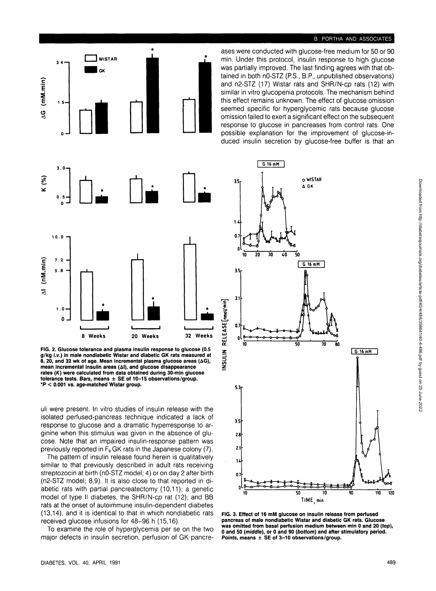# **B. PORTHA AND ASSOCIATES**





**34—1**

**WISTAR GK**

**1 5 -**

**FIG. 2. Glucose tolerance and plasma insulin response to glucose (0.5 g/kg i.v.) in male nondiabetic Wistar and diabetic GK rats measured at 8, 20, and 32 wk of age. Mean incremental plasma glucose areas (AG), mean incremental insulin areas (Al), and glucose disappearance rates (K) were calculated from data obtained during 30-min glucose tolerance tests. Bars, means ± SE of 10-15 observations/group. \*P < 0.001 vs. age-matched Wistar group.**

uli were present. In vitro studies of insulin release with the isolated perfused-pancreas technique indicated a lack of response to glucose and a dramatic hyperresponse to arginine when this stimulus was given in the absence of glucose. Note that an impaired insulin-response pattern was previously reported in  $F_9$  GK rats in the Japanese colony (7).

The pattern of insulin release found herein is qualitatively similar to that previously described in adult rats receiving streptozocin at birth (nO-STZ model; 4) or on day 2 after birth (n2-STZ model; 8,9). It is also close to that reported in diabetic rats with partial pancreatectomy (10,11); a genetic model of type II diabetes, the SHR/N-cp rat (12); and BB rats at the onset of autoimmune insulin-dependent diabetes (13,14), and it is identical to that in which nondiabetic rats received glucose infusions for 48-96 h (15,16).

To examine the role of hyperglycemia per se on the two major defects in insulin secretion, perfusion of GK pancre-



**FIG. 3. Effect of 16 mM glucose on insulin release from perfused pancreas of male nondiabetic Wistar and diabetic GK rats. Glucose was omitted from basal perfusion medium between min 0 and 20 (top), 0 and 50 (middle), or 0 and 90 (bottom) and after stimulatory period. Points, means ± SE of 3-10 observations/group.**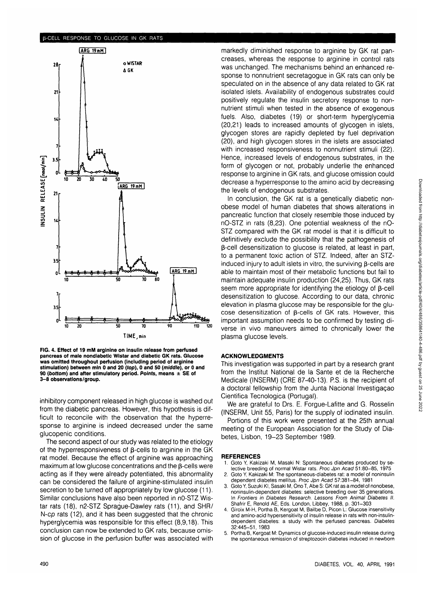#### (i-CELL RESPONSE TO GLUCOSE IN GK RATS



**FIG. 4. Effect of 19 mM arginine on** insulin **release from perfused pancreas of male nondiabetic Wistar and diabetic GK rats. Glucose was omitted throughout perfusion (including period of arginine stimulation) between** min **0 and 20** {top), **0 and 50** {middle), **or 0 and 90 (bottom) and after stimulatory period. Points, means ± SE of 3-8 observations/group.**

inhibitory component released in high glucose is washed out from the diabetic pancreas. However, this hypothesis is difficult to reconcile with the observation that the hyperresponse to arginine is indeed decreased under the same glucopenic conditions.

The second aspect of our study was related to the etiology of the hyperresponsiveness of  $\beta$ -cells to arginine in the GK rat model. Because the effect of arginine was approaching maximum at low glucose concentrations and the  $\beta$ -cells were acting as if they were already potentiated, this abnormality can be considered the failure of arginine-stimulated insulin secretion to be turned off appropriately by low glucose (11). Similar conclusions have also been reported in nO-STZ Wistar rats (18), n2-STZ Sprague-Dawley rats (11), and SHR/ N-cp rats (12), and it has been suggested that the chronic hyperglycemia was responsible for this effect (8,9,18). This conclusion can now be extended to GK rats, because omission of glucose in the perfusion buffer was associated with markedly diminished response to arginine by GK rat pancreases, whereas the response to arginine in control rats was unchanged. The mechanisms behind an enhanced response to nonnutrient secretagogue in GK rats can only be speculated on in the absence of any data related to GK rat isolated islets. Availability of endogenous substrates could positively regulate the insulin secretory response to nonnutrient stimuli when tested in the absence of exogenous fuels. Also, diabetes (19) or short-term hyperglycemia (20,21) leads to increased amounts of glycogen in islets, glycogen stores are rapidly depleted by fuel deprivation (20), and high glycogen stores in the islets are associated with increased responsiveness to nonnutrient stimuli (22). Hence, increased levels of endogenous substrates, in the form of glycogen or not, probably underlie the enhanced response to arginine in GK rats, and glucose omission could decrease a hyperresponse to the amino acid by decreasing the levels of endogenous substrates.

In conclusion, the GK rat is a genetically diabetic nonobese model of human diabetes that shows alterations in pancreatic function that closely resemble those induced by nO-STZ in rats (8,23). One potential weakness of the nO-STZ compared with the GK rat model is that it is difficult to definitively exclude the possibility that the pathogenesis of p-cell desensitization to glucose is related, at least in part, to a permanent toxic action of STZ. Indeed, after an STZinduced injury to adult islets in vitro, the surviving  $\beta$ -cells are able to maintain most of their metabolic functions but fail to maintain adequate insulin production (24,25). Thus, GK rats seem more appropriate for identifying the etiology of  $\beta$ -cell desensitization to glucose. According to our data, chronic elevation in plasma glucose may be responsible for the glucose desensitization of  $\beta$ -cells of GK rats. However, this important assumption needs to be confirmed by testing diverse in vivo maneuvers aimed to chronically lower the plasma glucose levels.

#### **ACKNOWLEDGMENTS**

This investigation was supported in part by a research grant from the Institut National de la Sante et de la Recherche Medicale (INSERM) (CRE 87-40-13). P.S. is the recipient of a doctoral fellowship from the Junta Nacional Investigagao Cientifica Tecnologica (Portugal).

We are grateful to Drs. E. Forgue-Lafitte and G. Rosselin (INSERM, Unit 55, Paris) for the supply of iodinated insulin.

Portions of this work were presented at the 25th annual meeting of the European Association for the Study of Diabetes, Lisbon, 19-23 September 1989.

#### **REFERENCES**

- Goto Y, Kakizaki M, Masaki N: Spontaneous diabetes produced by selective breeding of normal Wistar rats. Proc Jpn Acad 51:80-85, 1975
- 2. Goto Y, Kakizaki M: The spontaneous-diabetes rat: a model of noninsulin dependent diabetes mellitus. Proc Jpn Acad 57:381-84, 1981
- 3. Goto Y, Suzuki Kl, Sasaki M, Ono T, Abe S: GK rat as a model of nonobese, noninsulin-dependent diabetes: selective breeding over 35 generations. In Frontiers in Diabetes Research. Lessons From Animal Diabetes II. Shafrir E, Renold AE, Eds. London, Libbey, 1988, p. 301-303
- 4. Giroix M-H, Portha B, Kergoat M, Bailbe D, Picon L: Glucose insensitivity and amino-acid hypersensitivity of insulin release in rats with non-insulindependent diabetes: a study with the perfused pancreas. Diabetes 32:445-51, 1983
- 5. Portha B, Kergoat M: Dynamics of glucose-induced insulin release during the spontaneous remission of streptozocin diabetes induced in newborn